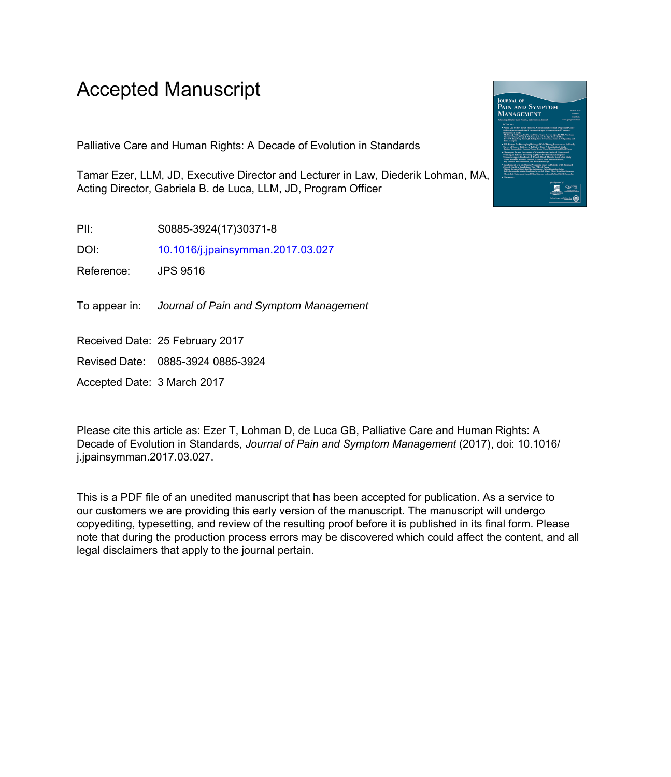# Accepted Manuscript

Palliative Care and Human Rights: A Decade of Evolution in Standards

Tamar Ezer, LLM, JD, Executive Director and Lecturer in Law, Diederik Lohman, MA, Acting Director, Gabriela B. de Luca, LLM, JD, Program Officer

PII: S0885-3924(17)30371-8

DOI: [10.1016/j.jpainsymman.2017.03.027](http://dx.doi.org/10.1016/j.jpainsymman.2017.03.027)

Reference: JPS 9516

To appear in: Journal of Pain and Symptom Management

Received Date: 25 February 2017

Revised Date: 0885-3924 0885-3924

Accepted Date: 3 March 2017

Please cite this article as: Ezer T, Lohman D, de Luca GB, Palliative Care and Human Rights: A Decade of Evolution in Standards, *Journal of Pain and Symptom Management* (2017), doi: 10.1016/ j.jpainsymman.2017.03.027.

This is a PDF file of an unedited manuscript that has been accepted for publication. As a service to our customers we are providing this early version of the manuscript. The manuscript will undergo copyediting, typesetting, and review of the resulting proof before it is published in its final form. Please note that during the production process errors may be discovered which could affect the content, and all legal disclaimers that apply to the journal pertain.

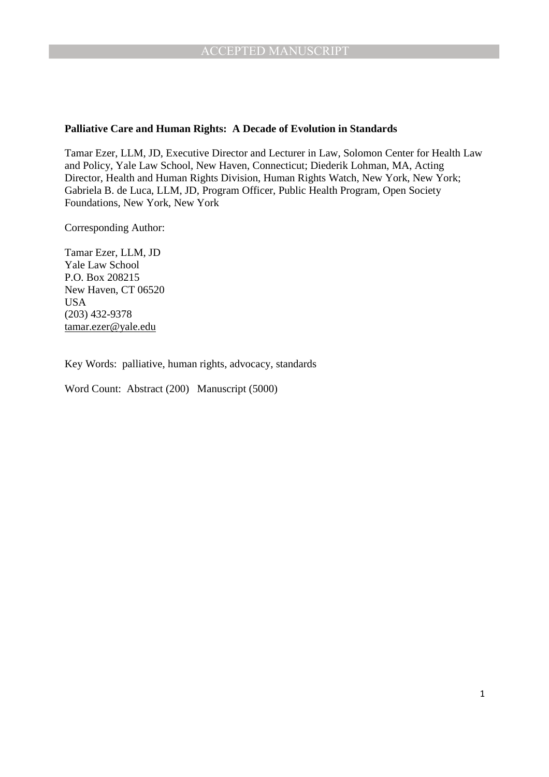#### **Palliative Care and Human Rights: A Decade of Evolution in Standards**

Tamar Ezer, LLM, JD, Executive Director and Lecturer in Law, Solomon Center for Health Law and Policy, Yale Law School, New Haven, Connecticut; Diederik Lohman, MA, Acting Director, Health and Human Rights Division, Human Rights Watch, New York, New York; Gabriela B. de Luca, LLM, JD, Program Officer, Public Health Program, Open Society Foundations, New York, New York

Corresponding Author:

Tamar Ezer, LLM, JD Yale Law School P.O. Box 208215 New Haven, CT 06520 USA (203) 432-9378 tamar.ezer@yale.edu

Key Words: palliative, human rights, advocacy, standards

Word Count: Abstract (200) Manuscript (5000)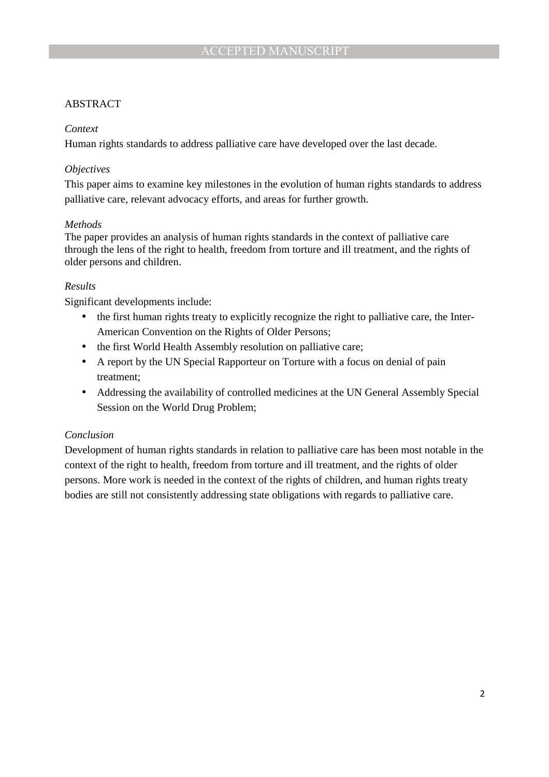# ABSTRACT

#### *Context*

Human rights standards to address palliative care have developed over the last decade.

### *Objectives*

This paper aims to examine key milestones in the evolution of human rights standards to address palliative care, relevant advocacy efforts, and areas for further growth.

#### *Methods*

The paper provides an analysis of human rights standards in the context of palliative care through the lens of the right to health, freedom from torture and ill treatment, and the rights of older persons and children.

#### *Results*

Significant developments include:

- the first human rights treaty to explicitly recognize the right to palliative care, the Inter-American Convention on the Rights of Older Persons;
- the first World Health Assembly resolution on palliative care;
- A report by the UN Special Rapporteur on Torture with a focus on denial of pain treatment;
- Addressing the availability of controlled medicines at the UN General Assembly Special Session on the World Drug Problem;

# *Conclusion*

Development of human rights standards in relation to palliative care has been most notable in the context of the right to health, freedom from torture and ill treatment, and the rights of older persons. More work is needed in the context of the rights of children, and human rights treaty bodies are still not consistently addressing state obligations with regards to palliative care.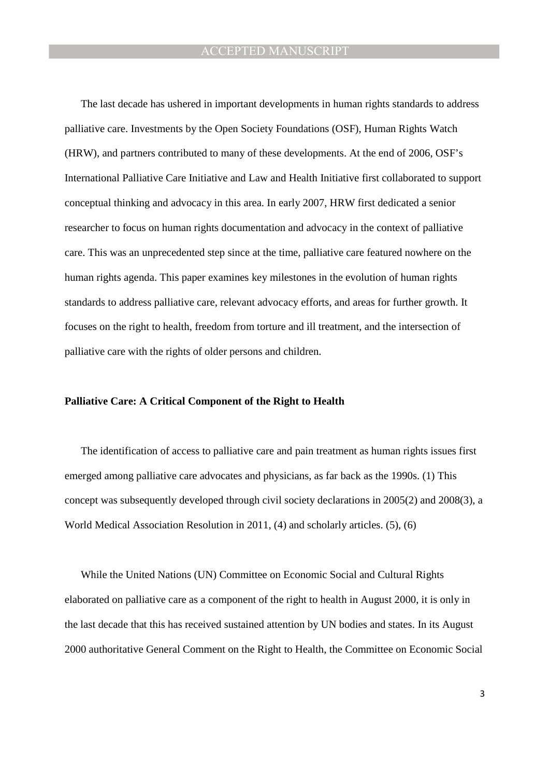The last decade has ushered in important developments in human rights standards to address palliative care. Investments by the Open Society Foundations (OSF), Human Rights Watch (HRW), and partners contributed to many of these developments. At the end of 2006, OSF's International Palliative Care Initiative and Law and Health Initiative first collaborated to support conceptual thinking and advocacy in this area. In early 2007, HRW first dedicated a senior researcher to focus on human rights documentation and advocacy in the context of palliative care. This was an unprecedented step since at the time, palliative care featured nowhere on the human rights agenda. This paper examines key milestones in the evolution of human rights standards to address palliative care, relevant advocacy efforts, and areas for further growth. It focuses on the right to health, freedom from torture and ill treatment, and the intersection of palliative care with the rights of older persons and children.

#### **Palliative Care: A Critical Component of the Right to Health**

The identification of access to palliative care and pain treatment as human rights issues first emerged among palliative care advocates and physicians, as far back as the 1990s. (1) This concept was subsequently developed through civil society declarations in 2005(2) and 2008(3), a World Medical Association Resolution in 2011, (4) and scholarly articles. (5), (6)

While the United Nations (UN) Committee on Economic Social and Cultural Rights elaborated on palliative care as a component of the right to health in August 2000, it is only in the last decade that this has received sustained attention by UN bodies and states. In its August 2000 authoritative General Comment on the Right to Health, the Committee on Economic Social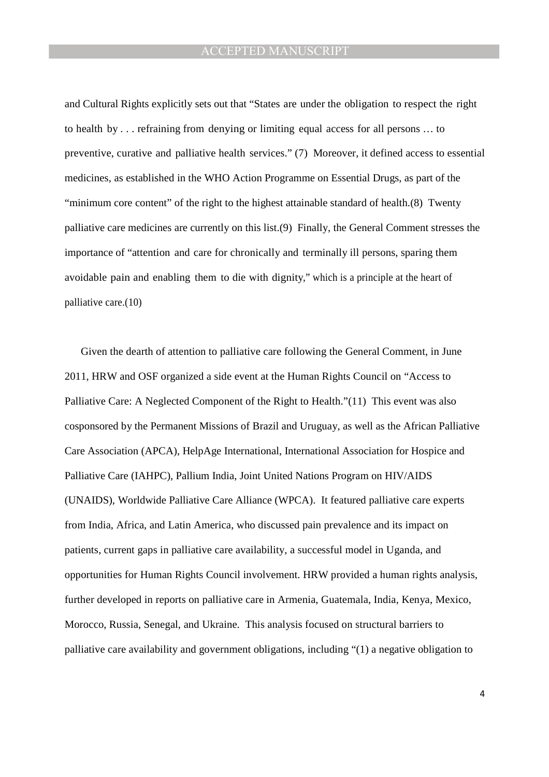and Cultural Rights explicitly sets out that "States are under the obligation to respect the right to health by . . . refraining from denying or limiting equal access for all persons … to preventive, curative and palliative health services." (7) Moreover, it defined access to essential medicines, as established in the WHO Action Programme on Essential Drugs, as part of the "minimum core content" of the right to the highest attainable standard of health.(8) Twenty palliative care medicines are currently on this list.(9) Finally, the General Comment stresses the importance of "attention and care for chronically and terminally ill persons, sparing them avoidable pain and enabling them to die with dignity," which is a principle at the heart of palliative care.(10)

Given the dearth of attention to palliative care following the General Comment, in June 2011, HRW and OSF organized a side event at the Human Rights Council on "Access to Palliative Care: A Neglected Component of the Right to Health."(11) This event was also cosponsored by the Permanent Missions of Brazil and Uruguay, as well as the African Palliative Care Association (APCA), HelpAge International, International Association for Hospice and Palliative Care (IAHPC), Pallium India, Joint United Nations Program on HIV/AIDS (UNAIDS), Worldwide Palliative Care Alliance (WPCA). It featured palliative care experts from India, Africa, and Latin America, who discussed pain prevalence and its impact on patients, current gaps in palliative care availability, a successful model in Uganda, and opportunities for Human Rights Council involvement. HRW provided a human rights analysis, further developed in reports on palliative care in Armenia, Guatemala, India, Kenya, Mexico, Morocco, Russia, Senegal, and Ukraine. This analysis focused on structural barriers to palliative care availability and government obligations, including "(1) a negative obligation to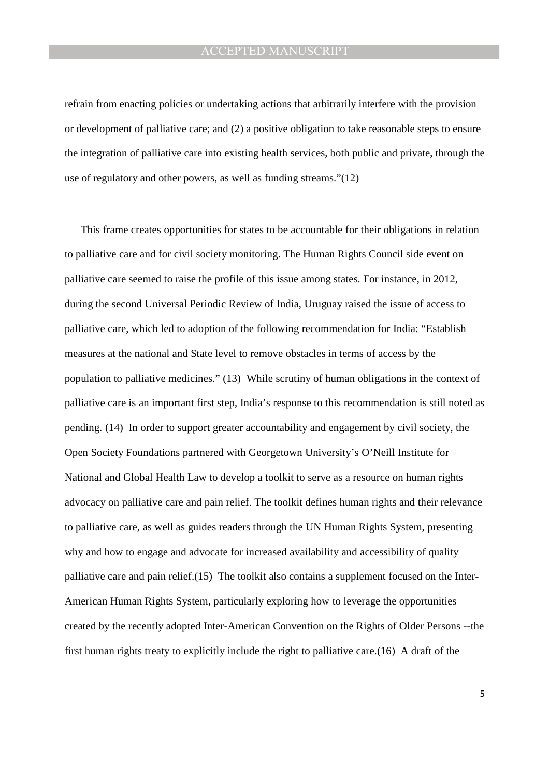refrain from enacting policies or undertaking actions that arbitrarily interfere with the provision or development of palliative care; and (2) a positive obligation to take reasonable steps to ensure the integration of palliative care into existing health services, both public and private, through the use of regulatory and other powers, as well as funding streams."(12)

This frame creates opportunities for states to be accountable for their obligations in relation to palliative care and for civil society monitoring. The Human Rights Council side event on palliative care seemed to raise the profile of this issue among states. For instance, in 2012, during the second Universal Periodic Review of India, Uruguay raised the issue of access to palliative care, which led to adoption of the following recommendation for India: "Establish measures at the national and State level to remove obstacles in terms of access by the population to palliative medicines." (13) While scrutiny of human obligations in the context of palliative care is an important first step, India's response to this recommendation is still noted as pending. (14) In order to support greater accountability and engagement by civil society, the Open Society Foundations partnered with Georgetown University's O'Neill Institute for National and Global Health Law to develop a toolkit to serve as a resource on human rights advocacy on palliative care and pain relief. The toolkit defines human rights and their relevance to palliative care, as well as guides readers through the UN Human Rights System, presenting why and how to engage and advocate for increased availability and accessibility of quality palliative care and pain relief.(15) The toolkit also contains a supplement focused on the Inter-American Human Rights System, particularly exploring how to leverage the opportunities created by the recently adopted Inter-American Convention on the Rights of Older Persons --the first human rights treaty to explicitly include the right to palliative care.(16) A draft of the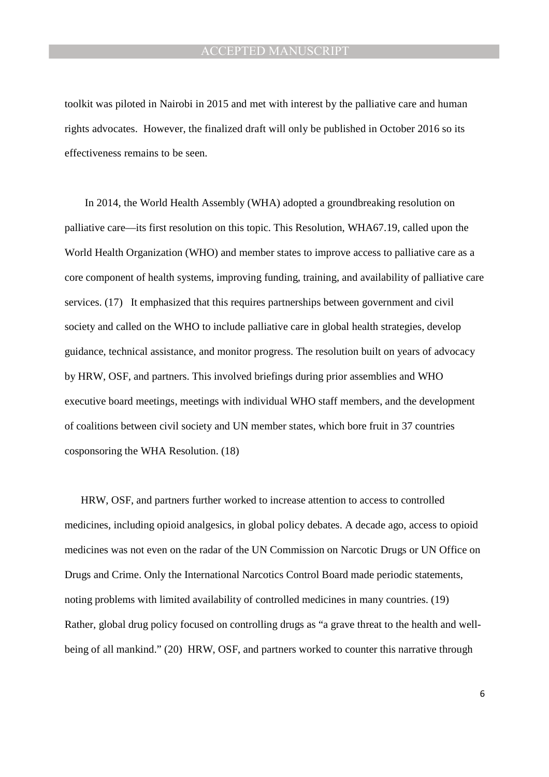toolkit was piloted in Nairobi in 2015 and met with interest by the palliative care and human rights advocates. However, the finalized draft will only be published in October 2016 so its effectiveness remains to be seen.

In 2014, the World Health Assembly (WHA) adopted a groundbreaking resolution on palliative care—its first resolution on this topic. This Resolution, WHA67.19, called upon the World Health Organization (WHO) and member states to improve access to palliative care as a core component of health systems, improving funding, training, and availability of palliative care services. (17) It emphasized that this requires partnerships between government and civil society and called on the WHO to include palliative care in global health strategies, develop guidance, technical assistance, and monitor progress. The resolution built on years of advocacy by HRW, OSF, and partners. This involved briefings during prior assemblies and WHO executive board meetings, meetings with individual WHO staff members, and the development of coalitions between civil society and UN member states, which bore fruit in 37 countries cosponsoring the WHA Resolution. (18)

HRW, OSF, and partners further worked to increase attention to access to controlled medicines, including opioid analgesics, in global policy debates. A decade ago, access to opioid medicines was not even on the radar of the UN Commission on Narcotic Drugs or UN Office on Drugs and Crime. Only the International Narcotics Control Board made periodic statements, noting problems with limited availability of controlled medicines in many countries. (19) Rather, global drug policy focused on controlling drugs as "a grave threat to the health and wellbeing of all mankind." (20) HRW, OSF, and partners worked to counter this narrative through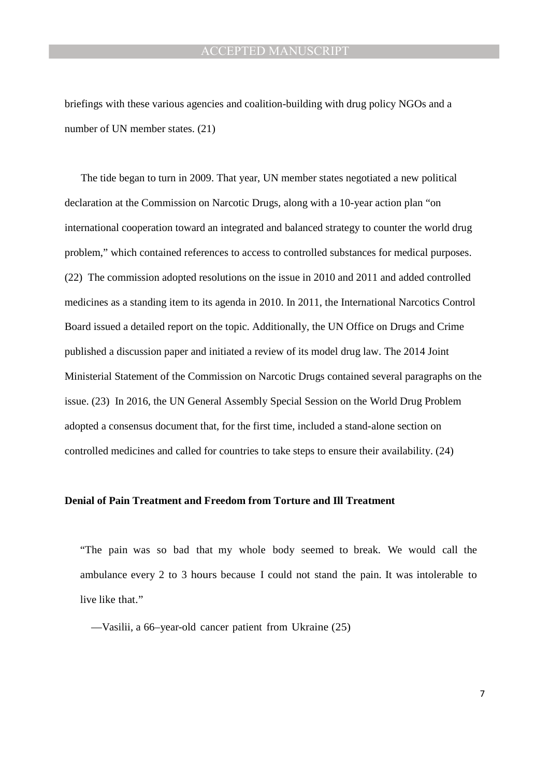briefings with these various agencies and coalition-building with drug policy NGOs and a number of UN member states. (21)

The tide began to turn in 2009. That year, UN member states negotiated a new political declaration at the Commission on Narcotic Drugs, along with a 10-year action plan "on international cooperation toward an integrated and balanced strategy to counter the world drug problem," which contained references to access to controlled substances for medical purposes. (22) The commission adopted resolutions on the issue in 2010 and 2011 and added controlled medicines as a standing item to its agenda in 2010. In 2011, the International Narcotics Control Board issued a detailed report on the topic. Additionally, the UN Office on Drugs and Crime published a discussion paper and initiated a review of its model drug law. The 2014 Joint Ministerial Statement of the Commission on Narcotic Drugs contained several paragraphs on the issue. (23) In 2016, the UN General Assembly Special Session on the World Drug Problem adopted a consensus document that, for the first time, included a stand-alone section on controlled medicines and called for countries to take steps to ensure their availability. (24)

#### **Denial of Pain Treatment and Freedom from Torture and Ill Treatment**

"The pain was so bad that my whole body seemed to break. We would call the ambulance every 2 to 3 hours because I could not stand the pain. It was intolerable to live like that."

—Vasilii, a 66–year-old cancer patient from Ukraine (25)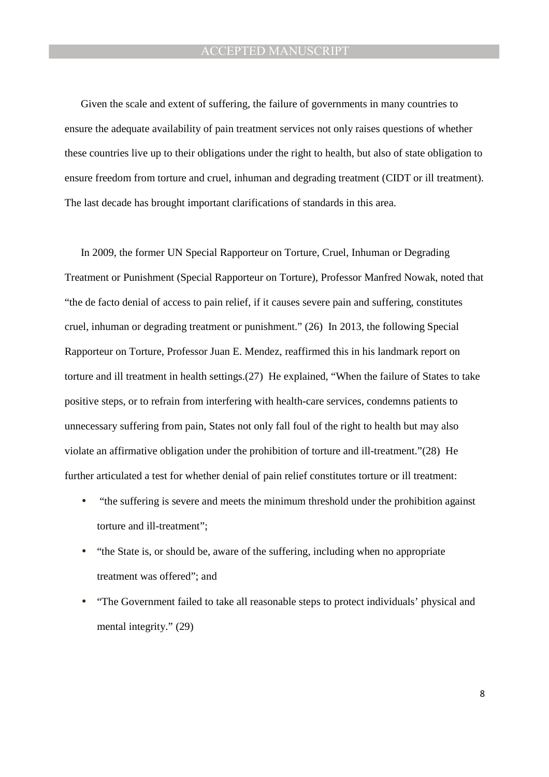Given the scale and extent of suffering, the failure of governments in many countries to ensure the adequate availability of pain treatment services not only raises questions of whether these countries live up to their obligations under the right to health, but also of state obligation to ensure freedom from torture and cruel, inhuman and degrading treatment (CIDT or ill treatment). The last decade has brought important clarifications of standards in this area.

In 2009, the former UN Special Rapporteur on Torture, Cruel, Inhuman or Degrading Treatment or Punishment (Special Rapporteur on Torture), Professor Manfred Nowak, noted that "the de facto denial of access to pain relief, if it causes severe pain and suffering, constitutes cruel, inhuman or degrading treatment or punishment." (26) In 2013, the following Special Rapporteur on Torture, Professor Juan E. Mendez, reaffirmed this in his landmark report on torture and ill treatment in health settings.(27) He explained, "When the failure of States to take positive steps, or to refrain from interfering with health-care services, condemns patients to unnecessary suffering from pain, States not only fall foul of the right to health but may also violate an affirmative obligation under the prohibition of torture and ill-treatment."(28) He further articulated a test for whether denial of pain relief constitutes torture or ill treatment:

- "the suffering is severe and meets the minimum threshold under the prohibition against torture and ill-treatment";
- "the State is, or should be, aware of the suffering, including when no appropriate treatment was offered"; and
- "The Government failed to take all reasonable steps to protect individuals' physical and mental integrity." (29)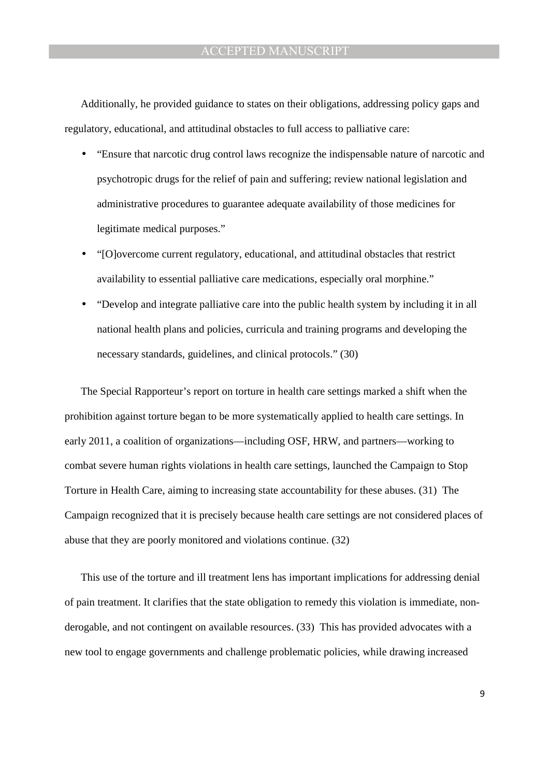Additionally, he provided guidance to states on their obligations, addressing policy gaps and regulatory, educational, and attitudinal obstacles to full access to palliative care:

- "Ensure that narcotic drug control laws recognize the indispensable nature of narcotic and psychotropic drugs for the relief of pain and suffering; review national legislation and administrative procedures to guarantee adequate availability of those medicines for legitimate medical purposes."
- "[O]overcome current regulatory, educational, and attitudinal obstacles that restrict availability to essential palliative care medications, especially oral morphine."
- "Develop and integrate palliative care into the public health system by including it in all national health plans and policies, curricula and training programs and developing the necessary standards, guidelines, and clinical protocols." (30)

The Special Rapporteur's report on torture in health care settings marked a shift when the prohibition against torture began to be more systematically applied to health care settings. In early 2011, a coalition of organizations—including OSF, HRW, and partners—working to combat severe human rights violations in health care settings, launched the Campaign to Stop Torture in Health Care, aiming to increasing state accountability for these abuses. (31) The Campaign recognized that it is precisely because health care settings are not considered places of abuse that they are poorly monitored and violations continue. (32)

This use of the torture and ill treatment lens has important implications for addressing denial of pain treatment. It clarifies that the state obligation to remedy this violation is immediate, nonderogable, and not contingent on available resources. (33) This has provided advocates with a new tool to engage governments and challenge problematic policies, while drawing increased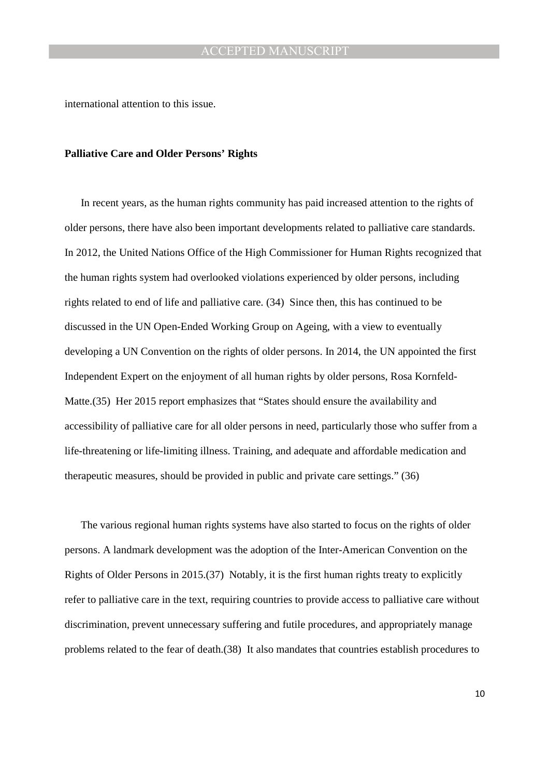international attention to this issue.

#### **Palliative Care and Older Persons' Rights**

In recent years, as the human rights community has paid increased attention to the rights of older persons, there have also been important developments related to palliative care standards. In 2012, the United Nations Office of the High Commissioner for Human Rights recognized that the human rights system had overlooked violations experienced by older persons, including rights related to end of life and palliative care. (34) Since then, this has continued to be discussed in the UN Open-Ended Working Group on Ageing, with a view to eventually developing a UN Convention on the rights of older persons. In 2014, the UN appointed the first Independent Expert on the enjoyment of all human rights by older persons, Rosa Kornfeld-Matte.(35) Her 2015 report emphasizes that "States should ensure the availability and accessibility of palliative care for all older persons in need, particularly those who suffer from a life-threatening or life-limiting illness. Training, and adequate and affordable medication and therapeutic measures, should be provided in public and private care settings." (36)

The various regional human rights systems have also started to focus on the rights of older persons. A landmark development was the adoption of the Inter-American Convention on the Rights of Older Persons in 2015.(37) Notably, it is the first human rights treaty to explicitly refer to palliative care in the text, requiring countries to provide access to palliative care without discrimination, prevent unnecessary suffering and futile procedures, and appropriately manage problems related to the fear of death.(38) It also mandates that countries establish procedures to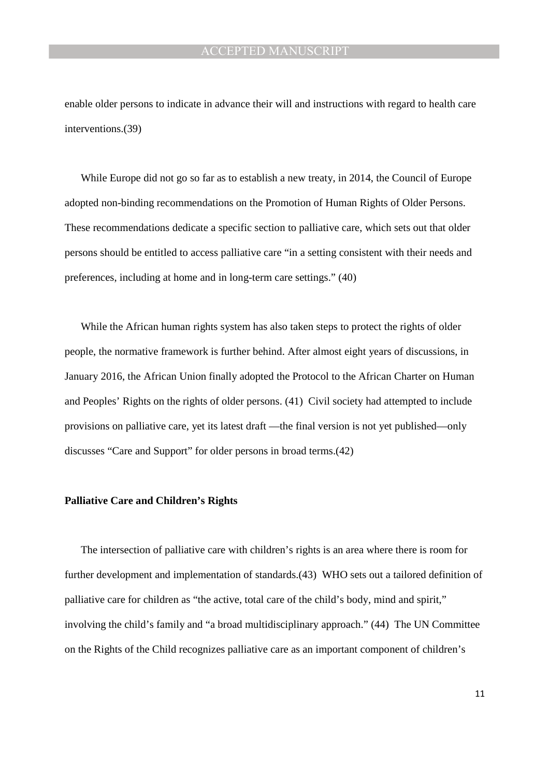enable older persons to indicate in advance their will and instructions with regard to health care interventions.(39)

While Europe did not go so far as to establish a new treaty, in 2014, the Council of Europe adopted non-binding recommendations on the Promotion of Human Rights of Older Persons. These recommendations dedicate a specific section to palliative care, which sets out that older persons should be entitled to access palliative care "in a setting consistent with their needs and preferences, including at home and in long-term care settings." (40)

While the African human rights system has also taken steps to protect the rights of older people, the normative framework is further behind. After almost eight years of discussions, in January 2016, the African Union finally adopted the Protocol to the African Charter on Human and Peoples' Rights on the rights of older persons. (41) Civil society had attempted to include provisions on palliative care, yet its latest draft —the final version is not yet published—only discusses "Care and Support" for older persons in broad terms.(42)

#### **Palliative Care and Children's Rights**

The intersection of palliative care with children's rights is an area where there is room for further development and implementation of standards.(43) WHO sets out a tailored definition of palliative care for children as "the active, total care of the child's body, mind and spirit," involving the child's family and "a broad multidisciplinary approach." (44) The UN Committee on the Rights of the Child recognizes palliative care as an important component of children's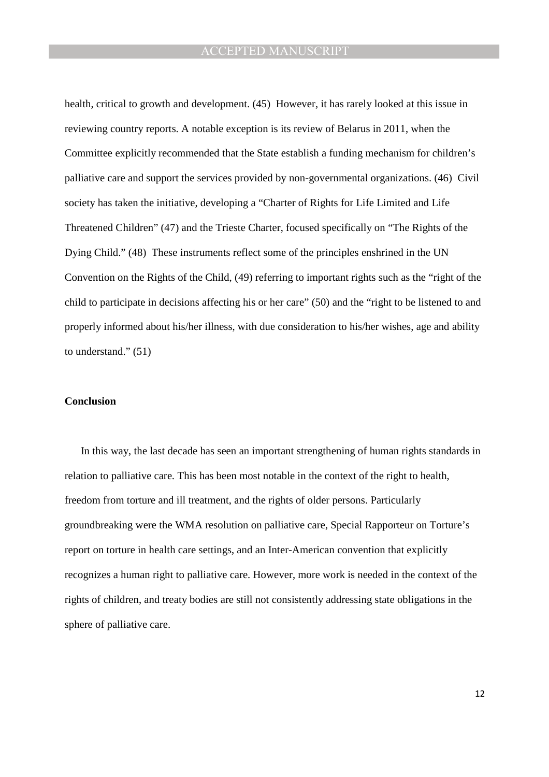health, critical to growth and development. (45) However, it has rarely looked at this issue in reviewing country reports. A notable exception is its review of Belarus in 2011, when the Committee explicitly recommended that the State establish a funding mechanism for children's palliative care and support the services provided by non-governmental organizations. (46) Civil society has taken the initiative, developing a "Charter of Rights for Life Limited and Life Threatened Children" (47) and the Trieste Charter, focused specifically on "The Rights of the Dying Child." (48) These instruments reflect some of the principles enshrined in the UN Convention on the Rights of the Child, (49) referring to important rights such as the "right of the child to participate in decisions affecting his or her care" (50) and the "right to be listened to and properly informed about his/her illness, with due consideration to his/her wishes, age and ability to understand." (51)

#### **Conclusion**

In this way, the last decade has seen an important strengthening of human rights standards in relation to palliative care. This has been most notable in the context of the right to health, freedom from torture and ill treatment, and the rights of older persons. Particularly groundbreaking were the WMA resolution on palliative care, Special Rapporteur on Torture's report on torture in health care settings, and an Inter-American convention that explicitly recognizes a human right to palliative care. However, more work is needed in the context of the rights of children, and treaty bodies are still not consistently addressing state obligations in the sphere of palliative care.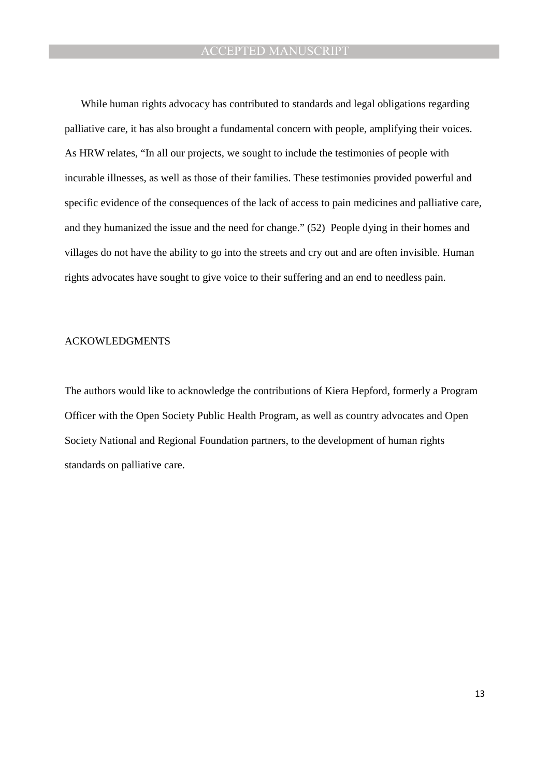While human rights advocacy has contributed to standards and legal obligations regarding palliative care, it has also brought a fundamental concern with people, amplifying their voices. As HRW relates, "In all our projects, we sought to include the testimonies of people with incurable illnesses, as well as those of their families. These testimonies provided powerful and specific evidence of the consequences of the lack of access to pain medicines and palliative care, and they humanized the issue and the need for change." (52) People dying in their homes and villages do not have the ability to go into the streets and cry out and are often invisible. Human rights advocates have sought to give voice to their suffering and an end to needless pain.

#### ACKOWLEDGMENTS

The authors would like to acknowledge the contributions of Kiera Hepford, formerly a Program Officer with the Open Society Public Health Program, as well as country advocates and Open Society National and Regional Foundation partners, to the development of human rights standards on palliative care.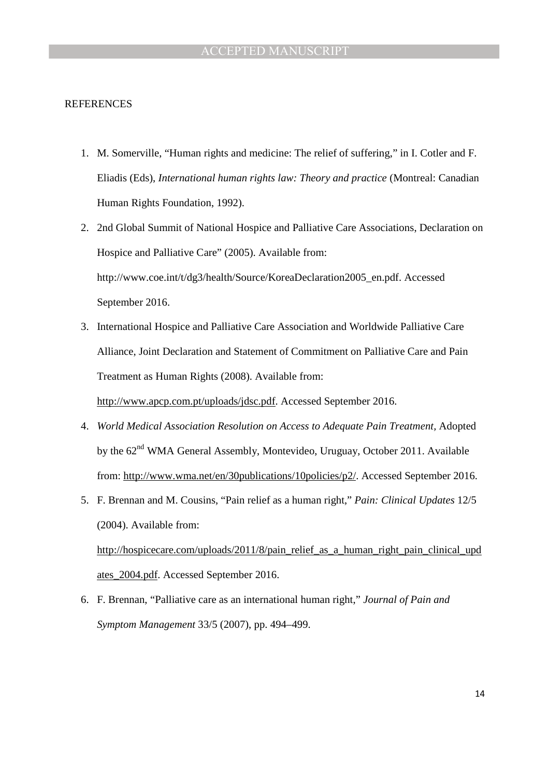#### REFERENCES

- 1. M. Somerville, "Human rights and medicine: The relief of suffering," in I. Cotler and F. Eliadis (Eds), *International human rights law: Theory and practice* (Montreal: Canadian Human Rights Foundation, 1992).
- 2. 2nd Global Summit of National Hospice and Palliative Care Associations, Declaration on Hospice and Palliative Care" (2005). Available from: http://www.coe.int/t/dg3/health/Source/KoreaDeclaration2005\_en.pdf. Accessed September 2016.
- 3. International Hospice and Palliative Care Association and Worldwide Palliative Care Alliance, Joint Declaration and Statement of Commitment on Palliative Care and Pain Treatment as Human Rights (2008). Available from:

http://www.apcp.com.pt/uploads/jdsc.pdf. Accessed September 2016.

- 4. *World Medical Association Resolution on Access to Adequate Pain Treatment,* Adopted by the 62<sup>nd</sup> WMA General Assembly, Montevideo, Uruguay, October 2011. Available from: http://www.wma.net/en/30publications/10policies/p2/. Accessed September 2016.
- 5. F. Brennan and M. Cousins, "Pain relief as a human right," *Pain: Clinical Updates* 12/5 (2004). Available from:

http://hospicecare.com/uploads/2011/8/pain\_relief\_as\_a\_human\_right\_pain\_clinical\_upd ates\_2004.pdf. Accessed September 2016.

6. F. Brennan, "Palliative care as an international human right," *Journal of Pain and Symptom Management* 33/5 (2007), pp. 494–499.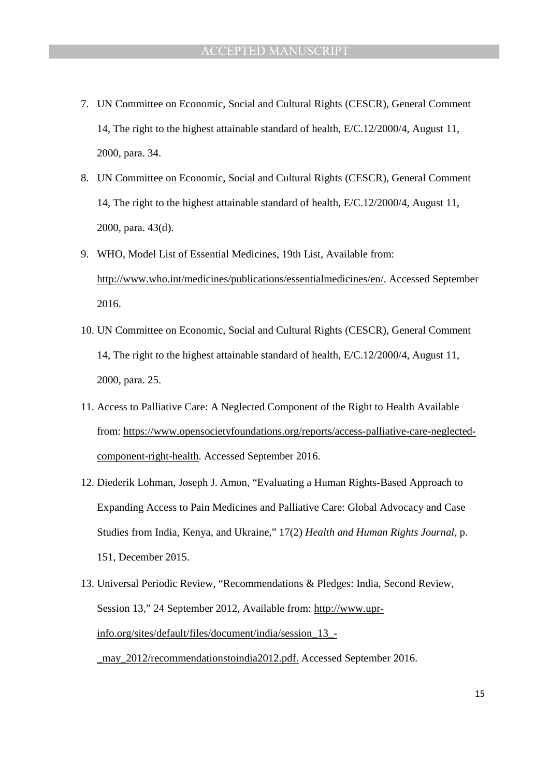- 7. UN Committee on Economic, Social and Cultural Rights (CESCR), General Comment 14, The right to the highest attainable standard of health, E/C.12/2000/4, August 11, 2000, para. 34.
- 8. UN Committee on Economic, Social and Cultural Rights (CESCR), General Comment 14, The right to the highest attainable standard of health, E/C.12/2000/4, August 11, 2000, para. 43(d).
- 9. WHO, Model List of Essential Medicines, 19th List, Available from: http://www.who.int/medicines/publications/essentialmedicines/en/. Accessed September 2016.
- 10. UN Committee on Economic, Social and Cultural Rights (CESCR), General Comment 14, The right to the highest attainable standard of health, E/C.12/2000/4, August 11, 2000, para. 25.
- 11. Access to Palliative Care: A Neglected Component of the Right to Health Available from: https://www.opensocietyfoundations.org/reports/access-palliative-care-neglectedcomponent-right-health. Accessed September 2016.
- 12. Diederik Lohman, Joseph J. Amon, "Evaluating a Human Rights-Based Approach to Expanding Access to Pain Medicines and Palliative Care: Global Advocacy and Case Studies from India, Kenya, and Ukraine," 17(2) *Health and Human Rights Journal*, p. 151, December 2015.
- 13. Universal Periodic Review, "Recommendations & Pledges: India, Second Review, Session 13," 24 September 2012, Available from: http://www.uprinfo.org/sites/default/files/document/india/session\_13\_- \_may\_2012/recommendationstoindia2012.pdf. Accessed September 2016.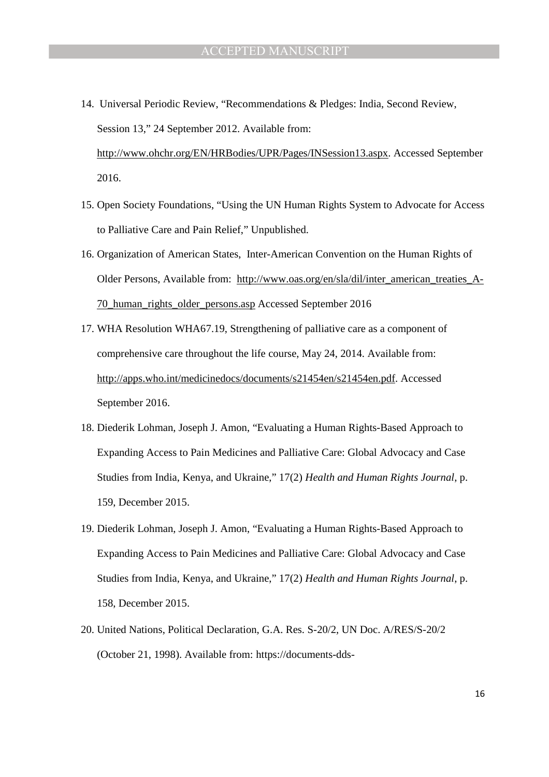- 14. Universal Periodic Review, "Recommendations & Pledges: India, Second Review, Session 13," 24 September 2012. Available from: http://www.ohchr.org/EN/HRBodies/UPR/Pages/INSession13.aspx. Accessed September 2016.
- 15. Open Society Foundations, "Using the UN Human Rights System to Advocate for Access to Palliative Care and Pain Relief," Unpublished.
- 16. Organization of American States, Inter-American Convention on the Human Rights of Older Persons, Available from: http://www.oas.org/en/sla/dil/inter\_american\_treaties\_A-70\_human\_rights\_older\_persons.asp Accessed September 2016
- 17. WHA Resolution WHA67.19, Strengthening of palliative care as a component of comprehensive care throughout the life course, May 24, 2014. Available from: http://apps.who.int/medicinedocs/documents/s21454en/s21454en.pdf. Accessed September 2016.
- 18. Diederik Lohman, Joseph J. Amon, "Evaluating a Human Rights-Based Approach to Expanding Access to Pain Medicines and Palliative Care: Global Advocacy and Case Studies from India, Kenya, and Ukraine," 17(2) *Health and Human Rights Journal*, p. 159, December 2015.
- 19. Diederik Lohman, Joseph J. Amon, "Evaluating a Human Rights-Based Approach to Expanding Access to Pain Medicines and Palliative Care: Global Advocacy and Case Studies from India, Kenya, and Ukraine," 17(2) *Health and Human Rights Journal*, p. 158, December 2015.
- 20. United Nations, Political Declaration, G.A. Res. S-20/2, UN Doc. A/RES/S-20/2 (October 21, 1998). Available from: https://documents-dds-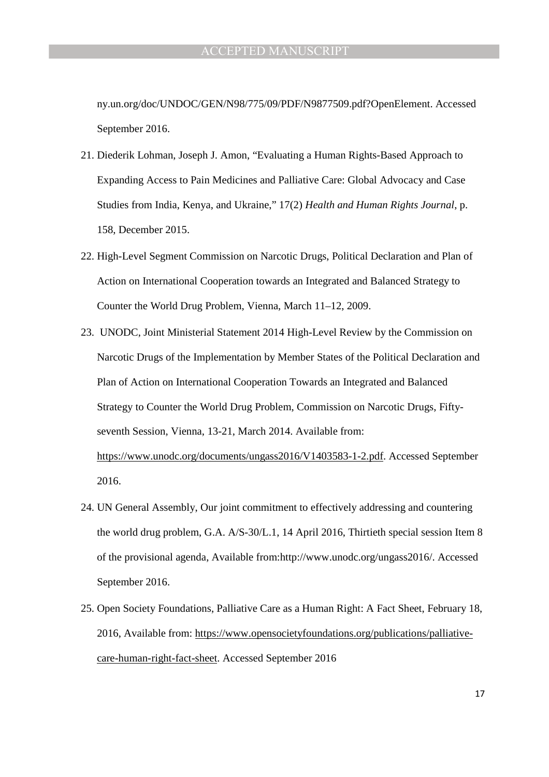ny.un.org/doc/UNDOC/GEN/N98/775/09/PDF/N9877509.pdf?OpenElement. Accessed September 2016.

- 21. Diederik Lohman, Joseph J. Amon, "Evaluating a Human Rights-Based Approach to Expanding Access to Pain Medicines and Palliative Care: Global Advocacy and Case Studies from India, Kenya, and Ukraine," 17(2) *Health and Human Rights Journal*, p. 158, December 2015.
- 22. High-Level Segment Commission on Narcotic Drugs, Political Declaration and Plan of Action on International Cooperation towards an Integrated and Balanced Strategy to Counter the World Drug Problem, Vienna, March 11–12, 2009.
- 23. UNODC, Joint Ministerial Statement 2014 High-Level Review by the Commission on Narcotic Drugs of the Implementation by Member States of the Political Declaration and Plan of Action on International Cooperation Towards an Integrated and Balanced Strategy to Counter the World Drug Problem, Commission on Narcotic Drugs, Fiftyseventh Session, Vienna, 13-21, March 2014. Available from: https://www.unodc.org/documents/ungass2016/V1403583-1-2.pdf. Accessed September 2016.
- 24. UN General Assembly, Our joint commitment to effectively addressing and countering the world drug problem, G.A. A/S-30/L.1, 14 April 2016, Thirtieth special session Item 8 of the provisional agenda, Available from:http://www.unodc.org/ungass2016/. Accessed September 2016.
- 25. Open Society Foundations, Palliative Care as a Human Right: A Fact Sheet, February 18, 2016, Available from: https://www.opensocietyfoundations.org/publications/palliativecare-human-right-fact-sheet. Accessed September 2016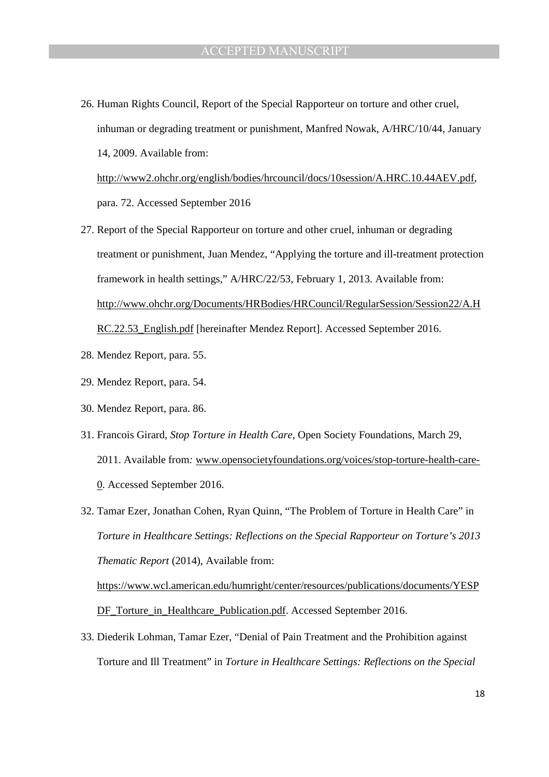26. Human Rights Council, Report of the Special Rapporteur on torture and other cruel, inhuman or degrading treatment or punishment, Manfred Nowak, A/HRC/10/44, January 14, 2009. Available from: http://www2.ohchr.org/english/bodies/hrcouncil/docs/10session/A.HRC.10.44AEV.pdf,

para. 72. Accessed September 2016

- 27. Report of the Special Rapporteur on torture and other cruel, inhuman or degrading treatment or punishment, Juan Mendez, "Applying the torture and ill-treatment protection framework in health settings," A/HRC/22/53, February 1, 2013. Available from: http://www.ohchr.org/Documents/HRBodies/HRCouncil/RegularSession/Session22/A.H RC.22.53\_English.pdf [hereinafter Mendez Report]. Accessed September 2016.
- 28. Mendez Report, para. 55.
- 29. Mendez Report, para. 54.
- 30. Mendez Report, para. 86.
- 31. Francois Girard, *Stop Torture in Health Care,* Open Society Foundations, March 29, 2011. Available from*:* www.opensocietyfoundations.org/voices/stop-torture-health-care-0. Accessed September 2016.
- 32. Tamar Ezer, Jonathan Cohen, Ryan Quinn, "The Problem of Torture in Health Care" in *Torture in Healthcare Settings: Reflections on the Special Rapporteur on Torture's 2013 Thematic Report* (2014), Available from: https://www.wcl.american.edu/humright/center/resources/publications/documents/YESP

DF Torture in Healthcare Publication.pdf. Accessed September 2016.

33. Diederik Lohman, Tamar Ezer, "Denial of Pain Treatment and the Prohibition against Torture and Ill Treatment" in *Torture in Healthcare Settings: Reflections on the Special*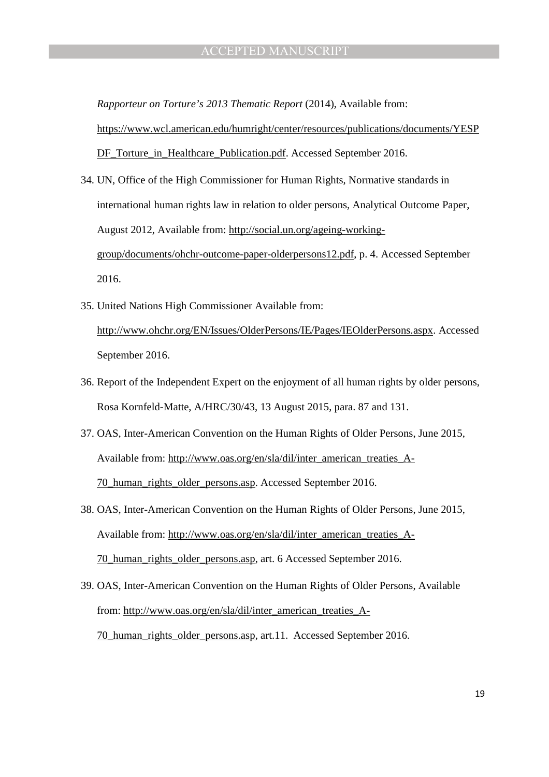*Rapporteur on Torture's 2013 Thematic Report* (2014), Available from:

https://www.wcl.american.edu/humright/center/resources/publications/documents/YESP DF\_Torture\_in\_Healthcare\_Publication.pdf. Accessed September 2016.

- 34. UN, Office of the High Commissioner for Human Rights, Normative standards in international human rights law in relation to older persons, Analytical Outcome Paper, August 2012, Available from: http://social.un.org/ageing-workinggroup/documents/ohchr-outcome-paper-olderpersons12.pdf, p. 4. Accessed September 2016.
- 35. United Nations High Commissioner Available from: http://www.ohchr.org/EN/Issues/OlderPersons/IE/Pages/IEOlderPersons.aspx. Accessed September 2016.
- 36. Report of the Independent Expert on the enjoyment of all human rights by older persons, Rosa Kornfeld-Matte, A/HRC/30/43, 13 August 2015, para. 87 and 131.
- 37. OAS, Inter-American Convention on the Human Rights of Older Persons, June 2015, Available from: http://www.oas.org/en/sla/dil/inter\_american\_treaties\_A-70\_human\_rights\_older\_persons.asp. Accessed September 2016.
- 38. OAS, Inter-American Convention on the Human Rights of Older Persons, June 2015, Available from: http://www.oas.org/en/sla/dil/inter\_american\_treaties\_A-70\_human\_rights\_older\_persons.asp, art. 6 Accessed September 2016.
- 39. OAS, Inter-American Convention on the Human Rights of Older Persons, Available from: http://www.oas.org/en/sla/dil/inter\_american\_treaties\_A-70\_human\_rights\_older\_persons.asp, art.11. Accessed September 2016.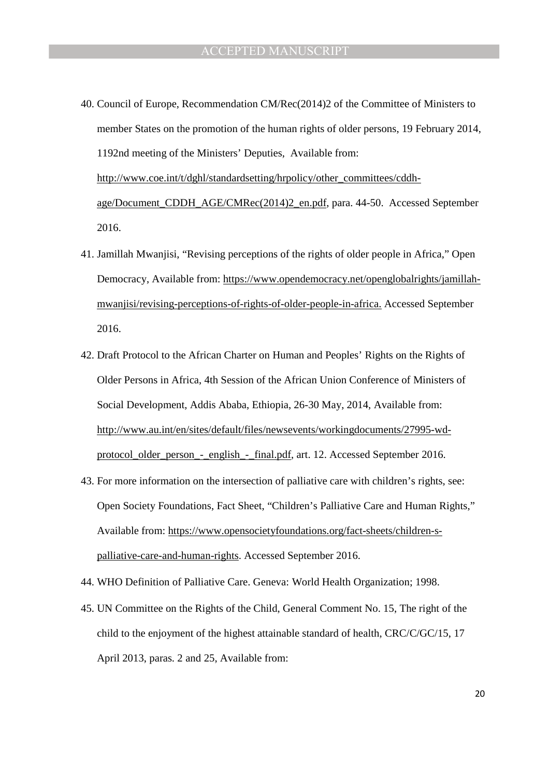- 40. Council of Europe, Recommendation CM/Rec(2014)2 of the Committee of Ministers to member States on the promotion of the human rights of older persons, 19 February 2014, 1192nd meeting of the Ministers' Deputies, Available from: http://www.coe.int/t/dghl/standardsetting/hrpolicy/other\_committees/cddhage/Document\_CDDH\_AGE/CMRec(2014)2\_en.pdf, para. 44-50. Accessed September 2016.
- 41. Jamillah Mwanjisi, "Revising perceptions of the rights of older people in Africa," Open Democracy, Available from: https://www.opendemocracy.net/openglobalrights/jamillahmwanjisi/revising-perceptions-of-rights-of-older-people-in-africa. Accessed September 2016.
- 42. Draft Protocol to the African Charter on Human and Peoples' Rights on the Rights of Older Persons in Africa, 4th Session of the African Union Conference of Ministers of Social Development, Addis Ababa, Ethiopia, 26-30 May, 2014, Available from: http://www.au.int/en/sites/default/files/newsevents/workingdocuments/27995-wdprotocol\_older\_person\_-\_english\_-\_final.pdf, art. 12. Accessed September 2016.
- 43. For more information on the intersection of palliative care with children's rights, see: Open Society Foundations, Fact Sheet, "Children's Palliative Care and Human Rights," Available from: https://www.opensocietyfoundations.org/fact-sheets/children-spalliative-care-and-human-rights. Accessed September 2016.
- 44. WHO Definition of Palliative Care. Geneva: World Health Organization; 1998.
- 45. UN Committee on the Rights of the Child, General Comment No. 15, The right of the child to the enjoyment of the highest attainable standard of health, CRC/C/GC/15, 17 April 2013, paras. 2 and 25, Available from: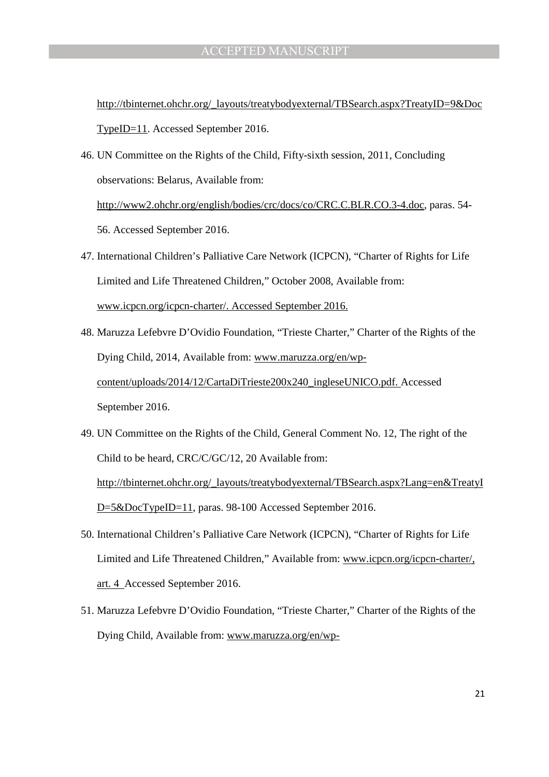http://tbinternet.ohchr.org/\_layouts/treatybodyexternal/TBSearch.aspx?TreatyID=9&Doc TypeID=11. Accessed September 2016.

- 46. UN Committee on the Rights of the Child, Fifty-sixth session, 2011, Concluding observations: Belarus, Available from: http://www2.ohchr.org/english/bodies/crc/docs/co/CRC.C.BLR.CO.3-4.doc, paras. 54- 56. Accessed September 2016.
- 47. International Children's Palliative Care Network (ICPCN), "Charter of Rights for Life Limited and Life Threatened Children," October 2008, Available from: www.icpcn.org/icpcn-charter/. Accessed September 2016.
- 48. Maruzza Lefebvre D'Ovidio Foundation, "Trieste Charter," Charter of the Rights of the Dying Child, 2014, Available from: www.maruzza.org/en/wpcontent/uploads/2014/12/CartaDiTrieste200x240\_ingleseUNICO.pdf. Accessed September 2016.
- 49. UN Committee on the Rights of the Child, General Comment No. 12, The right of the Child to be heard, CRC/C/GC/12, 20 Available from: http://tbinternet.ohchr.org/\_layouts/treatybodyexternal/TBSearch.aspx?Lang=en&TreatyI D=5&DocTypeID=11, paras. 98-100 Accessed September 2016.
- 50. International Children's Palliative Care Network (ICPCN), "Charter of Rights for Life Limited and Life Threatened Children," Available from: www.icpcn.org/icpcn-charter/, art. 4 Accessed September 2016.
- 51. Maruzza Lefebvre D'Ovidio Foundation, "Trieste Charter," Charter of the Rights of the Dying Child, Available from: www.maruzza.org/en/wp-